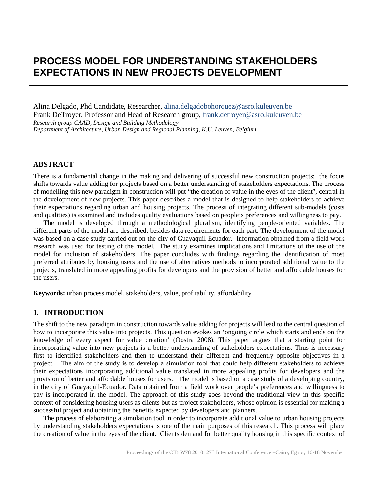# **PROCESS MODEL FOR UNDERSTANDING STAKEHOLDERS EXPECTATIONS IN NEW PROJECTS DEVELOPMENT**

Alina Delgado, Phd Candidate, Researcher, [alina.delgadobohorquez@asro.kuleuven.be](mailto:alina.delgadobohorquez@asro.kuleuven.be) Frank DeTroyer, Professor and Head of Research group, [frank.detroyer@asro.kuleuven.be](mailto:frank.detroyer@asro.kuleuven.be) *Research group CAAD, Design and Building Methodology Department of Architecture, Urban Design and Regional Planning, K.U. Leuven, Belgium*

#### **ABSTRACT**

There is a fundamental change in the making and delivering of successful new construction projects: the focus shifts towards value adding for projects based on a better understanding of stakeholders expectations. The process of modelling this new paradigm in construction will put "the creation of value in the eyes of the client", central in the development of new projects. This paper describes a model that is designed to help stakeholders to achieve their expectations regarding urban and housing projects. The process of integrating different sub-models (costs and qualities) is examined and includes quality evaluations based on people's preferences and willingness to pay.

 The model is developed through a methodological pluralism, identifying people-oriented variables. The different parts of the model are described, besides data requirements for each part. The development of the model was based on a case study carried out on the city of Guayaquil-Ecuador. Information obtained from a field work research was used for testing of the model. The study examines implications and limitations of the use of the model for inclusion of stakeholders. The paper concludes with findings regarding the identification of most preferred attributes by housing users and the use of alternatives methods to incorporated additional value to the projects, translated in more appealing profits for developers and the provision of better and affordable houses for the users.

**Keywords:** urban process model, stakeholders, value, profitability, affordability

## **1. INTRODUCTION**

The shift to the new paradigm in construction towards value adding for projects will lead to the central question of how to incorporate this value into projects. This question evokes an 'ongoing circle which starts and ends on the knowledge of every aspect for value creation' (Oostra 2008). This paper argues that a starting point for incorporating value into new projects is a better understanding of stakeholders expectations. Thus is necessary first to identified stakeholders and then to understand their different and frequently opposite objectives in a project. The aim of the study is to develop a simulation tool that could help different stakeholders to achieve their expectations incorporating additional value translated in more appealing profits for developers and the provision of better and affordable houses for users. The model is based on a case study of a developing country, in the city of Guayaquil-Ecuador. Data obtained from a field work over people's preferences and willingness to pay is incorporated in the model. The approach of this study goes beyond the traditional view in this specific context of considering housing users as clients but as project stakeholders, whose opinion is essential for making a successful project and obtaining the benefits expected by developers and planners.

 The process of elaborating a simulation tool in order to incorporate additional value to urban housing projects by understanding stakeholders expectations is one of the main purposes of this research. This process will place the creation of value in the eyes of the client. Clients demand for better quality housing in this specific context of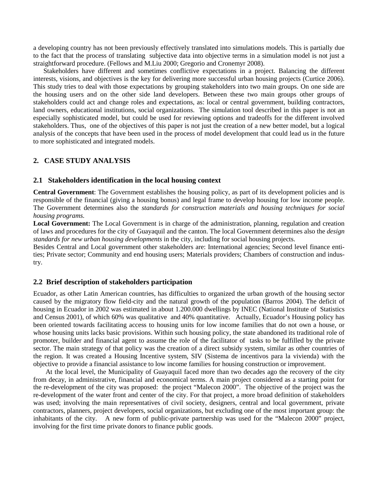a developing country has not been previously effectively translated into simulations models. This is partially due to the fact that the process of translating subjective data into objective terms in a simulation model is not just a straightforward procedure. (Fellows and M.Liu 2000; Gregorio and Cronemyr 2008).

 Stakeholders have different and sometimes conflictive expectations in a project. Balancing the different interests, visions, and objectives is the key for delivering more successful urban housing projects (Curtice 2006). This study tries to deal with those expectations by grouping stakeholders into two main groups. On one side are the housing users and on the other side land developers. Between these two main groups other groups of stakeholders could act and change roles and expectations, as: local or central government, building contractors, land owners, educational institutions, social organizations. The simulation tool described in this paper is not an especially sophisticated model, but could be used for reviewing options and tradeoffs for the different involved stakeholders. Thus, one of the objectives of this paper is not just the creation of a new better model, but a logical analysis of the concepts that have been used in the process of model development that could lead us in the future to more sophisticated and integrated models.

## **2. CASE STUDY ANALYSIS**

#### **2.1 Stakeholders identification in the local housing context**

**Central Government**: The Government establishes the housing policy, as part of its development policies and is responsible of the financial (giving a housing bonus) and legal frame to develop housing for low income people. The Government determines also the *standards for construction materials and housing techniques for social housing programs.*

**Local Government:** The Local Government is in charge of the administration, planning, regulation and creation of laws and procedures for the city of Guayaquil and the canton. The local Government determines also the *design standards for new urban housing developments* in the city, including for social housing projects.

Besides Central and Local government other stakeholders are: International agencies; Second level finance entities; Private sector; Community and end housing users; Materials providers; Chambers of construction and industry.

#### **2.2 Brief description of stakeholders participation**

Ecuador, as other Latin American countries, has difficulties to organized the urban growth of the housing sector caused by the migratory flow field-city and the natural growth of the population (Barros 2004). The deficit of housing in Ecuador in 2002 was estimated in about 1.200.000 dwellings by INEC (National Institute of Statistics and Census 2001), of which 60% was qualitative and 40% quantitative. Actually, Ecuador's Housing policy has been oriented towards facilitating access to housing units for low income families that do not own a house, or whose housing units lacks basic provisions. Within such housing policy, the state abandoned its traditional role of promoter, builder and financial agent to assume the role of the facilitator of tasks to be fulfilled by the private sector. The main strategy of that policy was the creation of a direct subsidy system, similar as other countries of the region. It was created a Housing Incentive system, SIV (Sistema de incentivos para la vivienda) with the objective to provide a financial assistance to low income families for housing construction or improvement.

 At the local level, the Municipality of Guayaquil faced more than two decades ago the recovery of the city from decay, in administrative, financial and economical terms. A main project considered as a starting point for the re-development of the city was proposed: the project "Malecon 2000". The objective of the project was the re-development of the water front and center of the city. For that project, a more broad definition of stakeholders was used; involving the main representatives of civil society, designers, central and local government, private contractors, planners, project developers, social organizations, but excluding one of the most important group: the inhabitants of the city. A new form of public-private partnership was used for the "Malecon 2000" project, involving for the first time private donors to finance public goods.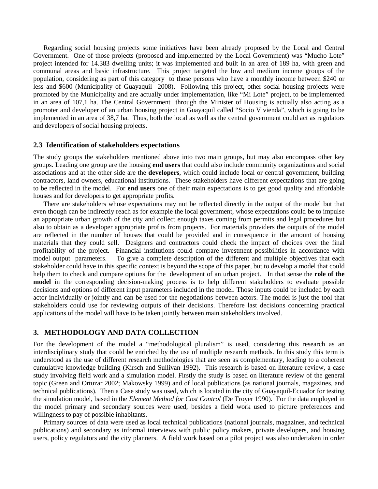Regarding social housing projects some initiatives have been already proposed by the Local and Central Government. One of those projects (proposed and implemented by the Local Government) was "Mucho Lote" project intended for 14.383 dwelling units; it was implemented and built in an area of 189 ha, with green and communal areas and basic infrastructure. This project targeted the low and medium income groups of the population, considering as part of this category to those persons who have a monthly income between \$240 or less and \$600 (Municipality of Guayaquil 2008). Following this project, other social housing projects were promoted by the Municipality and are actually under implementation, like "Mi Lote" project, to be implemented in an area of 107,1 ha. The Central Government through the Minister of Housing is actually also acting as a promoter and developer of an urban housing project in Guayaquil called "Socio Vivienda", which is going to be implemented in an area of 38,7 ha.Thus, both the local as well as the central government could act as regulators and developers of social housing projects.

#### **2.3 Identification of stakeholders expectations**

The study groups the stakeholders mentioned above into two main groups, but may also encompass other key groups. Leading one group are the housing **end users** that could also include community organizations and social associations and at the other side are the **developers**, which could include local or central government, building contractors, land owners, educational institutions. These stakeholders have different expectations that are going to be reflected in the model. For **end users** one of their main expectations is to get good quality and affordable houses and for developers to get appropriate profits.

 There are stakeholders whose expectations may not be reflected directly in the output of the model but that even though can be indirectly reach as for example the local government, whose expectations could be to impulse an appropriate urban growth of the city and collect enough taxes coming from permits and legal procedures but also to obtain as a developer appropriate profits from projects. For materials providers the outputs of the model are reflected in the number of houses that could be provided and in consequence in the amount of housing materials that they could sell. Designers and contractors could check the impact of choices over the final profitability of the project. Financial institutions could compare investment possibilities in accordance with model output parameters. To give a complete description of the different and multiple objectives that each stakeholder could have in this specific context is beyond the scope of this paper, but to develop a model that could help them to check and compare options for the development of an urban project. In that sense the **role of the model** in the corresponding decision-making process is to help different stakeholders to evaluate possible decisions and options of different input parameters included in the model. Those inputs could be included by each actor individually or jointly and can be used for the negotiations between actors. The model is just the tool that stakeholders could use for reviewing outputs of their decisions. Therefore last decisions concerning practical applications of the model will have to be taken jointly between main stakeholders involved.

#### **3. METHODOLOGY AND DATA COLLECTION**

For the development of the model a "methodological pluralism" is used, considering this research as an interdisciplinary study that could be enriched by the use of multiple research methods. In this study this term is understood as the use of different research methodologies that are seen as complementary, leading to a coherent cumulative knowledge building (Kirsch and Sullivan 1992). This research is based on literature review, a case study involving field work and a simulation model. Firstly the study is based on literature review of the general topic (Green and Ortuzar 2002; Makowsky 1999) and of local publications (as national journals, magazines, and technical publications). Then a Case study was used, which is located in the city of Guayaquil-Ecuador for testing the simulation model, based in the *Element Method for Cost Control* (De Troyer 1990). For the data employed in the model primary and secondary sources were used, besides a field work used to picture preferences and willingness to pay of possible inhabitants.

 Primary sources of data were used as local technical publications (national journals, magazines, and technical publications) and secondary as informal interviews with public policy makers, private developers, and housing users, policy regulators and the city planners. A field work based on a pilot project was also undertaken in order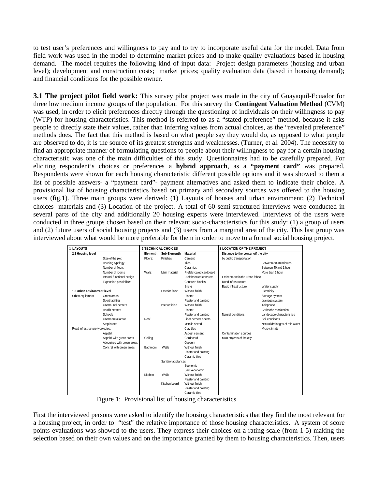to test user's preferences and willingness to pay and to try to incorporate useful data for the model. Data from field work was used in the model to determine market prices and to make quality evaluations based in housing demand. The model requires the following kind of input data: Project design parameters (housing and urban level); development and construction costs; market prices; quality evaluation data (based in housing demand); and financial conditions for the possible owner.

**3.1 The project pilot field work:** This survey pilot project was made in the city of Guayaquil-Ecuador for three low medium income groups of the population. For this survey the **Contingent Valuation Method** (CVM) was used, in order to elicit preferences directly through the questioning of individuals on their willingness to pay (WTP) for housing characteristics. This method is referred to as a "stated preference" method, because it asks people to directly state their values, rather than inferring values from actual choices, as the "revealed preference" methods does. The fact that this method is based on what people say they would do, as opposed to what people are observed to do, it is the source of its greatest strengths and weaknesses. (Turner, et al. 2004). The necessity to find an appropriate manner of formulating questions to people about their willingness to pay for a certain housing characteristic was one of the main difficulties of this study. Questionnaires had to be carefully prepared. For eliciting respondent's choices or preferences a **hybrid approach**, as a **"payment card"** was prepared. Respondents were shown for each housing characteristic different possible options and it was showed to them a list of possible answers- a "payment card"- payment alternatives and asked them to indicate their choice. A provisional list of housing characteristics based on primary and secondary sources was offered to the housing users (fig.1). Three main groups were derived: (1) Layouts of houses and urban environment; (2) Technical choices- materials and (3) Location of the project. A total of 60 semi-structured interviews were conducted in several parts of the city and additionally 20 housing experts were interviewed. Interviews of the users were conducted in three groups chosen based on their relevant socio-characteristics for this study: (1) a group of users and (2) future users of social housing projects and (3) users from a marginal area of the city. This last group was interviewed about what would be more preferable for them in order to move to a formal social housing project.

| 1 LAYOUTS                       |                            | 2 TECHNICAL CHOICES                         |                        |                                     | <b>3 LOCATION OF THE PROJECT</b> |                                 |
|---------------------------------|----------------------------|---------------------------------------------|------------------------|-------------------------------------|----------------------------------|---------------------------------|
| 2.2 Housing level               |                            | Sub-Elementh<br><b>Material</b><br>Elementh |                        | Distance to the center oif the city |                                  |                                 |
|                                 | Size of the plot           | Floors:                                     | Finishes               | Cement                              | by public transportation         |                                 |
|                                 | Housing typology           |                                             |                        | <b>Tiles</b>                        |                                  | Between 30-40 minutes           |
|                                 | Number of floors           |                                             |                        | Ceramics                            |                                  | Between 40 and 1 hour           |
|                                 | Number of rooms            | Walls:                                      | Main material          | Prefabricated cardboard             |                                  | More than 1 hour                |
|                                 | Internal functional design |                                             |                        | Prefabricated concrete              | Embebment in the urban fabric    |                                 |
|                                 | Expansion possibilities    |                                             |                        | Concrete blockis                    | Road infrastructure              |                                 |
|                                 |                            |                                             |                        | <b>Bricks</b>                       | Basic infrastructure             | Water supply                    |
| 1.2 Urban environment level     |                            |                                             | <b>Exterior finish</b> | Without finish                      |                                  | Electricity                     |
| Urban equipment                 | Green areas                |                                             |                        | Plaster                             |                                  | Sweage system                   |
|                                 | Sport facilities           |                                             |                        | Plaster and painting                |                                  | drainagg system                 |
|                                 | Communal centers           |                                             | Interior finish        | Without finish                      |                                  | Telephone                       |
|                                 | Health centers             |                                             |                        | Plaster                             |                                  | Garbache recolection            |
|                                 | Schools                    |                                             |                        | Plaster and painting                | Natural conditions               | Landscape characteristics       |
|                                 | Commercial areas           | Roof                                        |                        | Fiber cement sheets                 |                                  | Soil conditions                 |
|                                 | Stop buses                 |                                             |                        | Metalic sheed                       |                                  | Natural drainages of rain water |
| Road infrastructure-typologies: |                            |                                             |                        | Clay tiles                          |                                  | Micro climate                   |
|                                 | Aspahlt                    |                                             |                        | Asbest cement                       | Contamination sources            |                                 |
|                                 | Aspahlt with green areas   | Ceiling                                     |                        | Cardboard                           | Main projects of the city        |                                 |
|                                 | Adoquines with green areas |                                             |                        | Gypsum                              |                                  |                                 |
|                                 | Concret with green areas   | Bathroom                                    | Walls                  | Without finish                      |                                  |                                 |
|                                 |                            |                                             |                        | Plaster and painting                |                                  |                                 |
|                                 |                            |                                             |                        | Ceramic tiles                       |                                  |                                 |
|                                 |                            |                                             | Sanitary appliances    |                                     |                                  |                                 |
|                                 |                            |                                             |                        | Economic                            |                                  |                                 |
|                                 |                            |                                             |                        | Semi-economic                       |                                  |                                 |
|                                 |                            | Kitchen                                     | Walls                  | Without finish                      |                                  |                                 |
|                                 |                            |                                             |                        | Plaster and painting                |                                  |                                 |
|                                 |                            |                                             | Kitchen board          | Without finish                      |                                  |                                 |
|                                 |                            |                                             |                        | Plaster and painting                |                                  |                                 |
|                                 |                            |                                             |                        | Ceramic tiles                       |                                  |                                 |

Figure 1: Provisional list of housing characteristics

First the interviewed persons were asked to identify the housing characteristics that they find the most relevant for a housing project, in order to "test" the relative importance of those housing characteristics. A system of score points evaluations was showed to the users. They express their choices on a rating scale (from 1-5) making the selection based on their own values and on the importance granted by them to housing characteristics. Then, users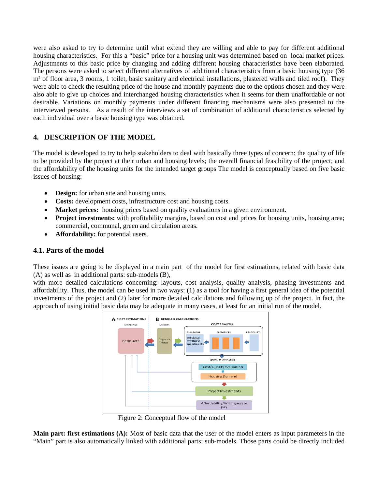were also asked to try to determine until what extend they are willing and able to pay for different additional housing characteristics. For this a "basic" price for a housing unit was determined based on local market prices. Adjustments to this basic price by changing and adding different housing characteristics have been elaborated. The persons were asked to select different alternatives of additional characteristics from a basic housing type (36 m² of floor area, 3 rooms, 1 toilet, basic sanitary and electrical installations, plastered walls and tiled roof). They were able to check the resulting price of the house and monthly payments due to the options chosen and they were also able to give up choices and interchanged housing characteristics when it seems for them unaffordable or not desirable. Variations on monthly payments under different financing mechanisms were also presented to the interviewed persons. As a result of the interviews a set of combination of additional characteristics selected by each individual over a basic housing type was obtained.

# **4. DESCRIPTION OF THE MODEL**

The model is developed to try to help stakeholders to deal with basically three types of concern: the quality of life to be provided by the project at their urban and housing levels; the overall financial feasibility of the project; and the affordability of the housing units for the intended target groups The model is conceptually based on five basic issues of housing:

- **Design:** for urban site and housing units.
- **Costs:** development costs, infrastructure cost and housing costs.
- **Market prices:** housing prices based on quality evaluations in a given environment.
- **Project investments:** with profitability margins, based on cost and prices for housing units, housing area; commercial, communal, green and circulation areas.
- **Affordability:** for potential users.

## **4.1. Parts of the model**

These issues are going to be displayed in a main part of the model for first estimations, related with basic data (A) as well as in additional parts: sub-models (B),

with more detailed calculations concerning: layouts, cost analysis, quality analysis, phasing investments and affordability. Thus, the model can be used in two ways: (1) as a tool for having a first general idea of the potential investments of the project and (2) later for more detailed calculations and following up of the project. In fact, the approach of using initial basic data may be adequate in many cases, at least for an initial run of the model.



Figure 2: Conceptual flow of the model

**Main part: first estimations (A):** Most of basic data that the user of the model enters as input parameters in the "Main" part is also automatically linked with additional parts: sub-models. Those parts could be directly included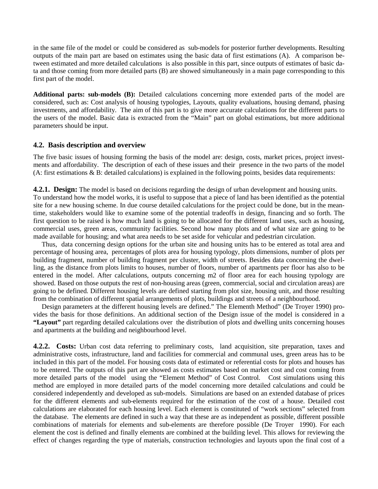in the same file of the model or could be considered as sub-models for posterior further developments. Resulting outputs of the main part are based on estimates using the basic data of first estimations (A). A comparison between estimated and more detailed calculations is also possible in this part, since outputs of estimates of basic data and those coming from more detailed parts (B) are showed simultaneously in a main page corresponding to this first part of the model.

**Additional parts: sub-models (B):** Detailed calculations concerning more extended parts of the model are considered, such as: Cost analysis of housing typologies, Layouts, quality evaluations, housing demand, phasing investments, and affordability. The aim of this part is to give more accurate calculations for the different parts to the users of the model. Basic data is extracted from the "Main" part on global estimations, but more additional parameters should be input.

#### **4.2. Basis description and overview**

The five basic issues of housing forming the basis of the model are: design, costs, market prices, project investments and affordability. The description of each of these issues and their presence in the two parts of the model (A: first estimations & B: detailed calculations) is explained in the following points, besides data requirements:

**4.2.1. Design:** The model is based on decisions regarding the design of urban development and housing units. To understand how the model works, it is useful to suppose that a piece of land has been identified as the potential site for a new housing scheme. In due course detailed calculations for the project could be done, but in the meantime, stakeholders would like to examine some of the potential tradeoffs in design, financing and so forth. The first question to be raised is how much land is going to be allocated for the different land uses, such as housing, commercial uses, green areas, community facilities. Second how many plots and of what size are going to be made available for housing; and what area needs to be set aside for vehicular and pedestrian circulation.

 Thus, data concerning design options for the urban site and housing units has to be entered as total area and percentage of housing area, percentages of plots area for housing typology, plots dimensions, number of plots per building fragment, number of building fragment per cluster, width of streets. Besides data concerning the dwelling, as the distance from plots limits to houses, number of floors, number of apartments per floor has also to be entered in the model. After calculations, outputs concerning m2 of floor area for each housing typology are showed. Based on those outputs the rest of non-housing areas (green, commercial, social and circulation areas) are going to be defined. Different housing levels are defined starting from plot size, housing unit, and those resulting from the combination of different spatial arrangements of plots, buildings and streets of a neighbourhood.

 Design parameters at the different housing levels are defined." The Elementh Method" (De Troyer 1990) provides the basis for those definitions. An additional section of the Design issue of the model is considered in a **"Layout"** part regarding detailed calculations over the distribution of plots and dwelling units concerning houses and apartments at the building and neighbourhood level.

**4.2.2. Costs:** Urban cost data referring to preliminary costs, land acquisition, site preparation, taxes and administrative costs, infrastructure, land and facilities for commercial and communal uses, green areas has to be included in this part of the model. For housing costs data of estimated or referential costs for plots and houses has to be entered. The outputs of this part are showed as costs estimates based on market cost and cost coming from more detailed parts of the model using the "Element Method" of Cost Control. Cost simulations using this method are employed in more detailed parts of the model concerning more detailed calculations and could be considered independently and developed as sub-models. Simulations are based on an extended database of prices for the different elements and sub-elements required for the estimation of the cost of a house. Detailed cost calculations are elaborated for each housing level. Each element is constituted of "work sections" selected from the database. The elements are defined in such a way that these are as independent as possible, different possible combinations of materials for elements and sub-elements are therefore possible (De Troyer 1990). For each element the cost is defined and finally elements are combined at the building level. This allows for reviewing the effect of changes regarding the type of materials, construction technologies and layouts upon the final cost of a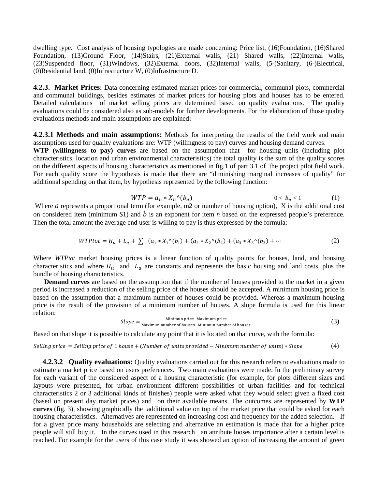dwelling type. Cost analysis of housing typologies are made concerning: Price list, (16)Foundation, (16)Shared Foundation, (13)Ground Floor, (14)Stairs, (21)External walls, (21) Shared walls, (22)Internal walls, (23)Suspended floor, (31)Windows, (32)External doors, (32)Internal walls, (5-)Sanitary, (6-)Electrical, (0)Residential land, (0)Infrastructure W, (0)Infrastructure D.

**4.2.3. Market Prices:** Data concerning estimated market prices for commercial, communal plots, commercial and communal buildings, besides estimates of market prices for housing plots and houses has to be entered. Detailed calculations of market selling prices are determined based on quality evaluations. The quality evaluations could be considered also as sub-models for further developments. For the elaboration of those quality evaluations methods and main assumptions are explained**:**

**4.2.3.1 Methods and main assumptions:** Methods for interpreting the results of the field work and main assumptions used for quality evaluations are: WTP (willingness to pay) curves and housing demand curves.

**WTP (willingness to pay) curves** are based on the assumption that for housing units (including plot characteristics, location and urban environmental characteristics) the total quality is the sum of the quality scores on the different aspects of housing characteristics as mentioned in fig.1 of part 3.1 of the project pilot field work. For each quality score the hypothesis is made that there are "diminishing marginal increases of quality" for additional spending on that item, by hypothesis represented by the following function:

$$
WTP = a_n * X_n \wedge (b_n) \qquad \qquad 0 < b_n < 1 \qquad \qquad (1)
$$

Where *a* represents a proportional term (for example, m2 or number of housing option), X is the additional cost on considered item (minimum \$1) and *b* is an exponent for item *n* based on the expressed people's preference. Then the total amount the average end user is willing to pay is thus expressed by the formula:

$$
WTP tot = H_u + L_a + \sum (a_1 * X_1^{\wedge}(b_1) + (a_2 * X_2^{\wedge}(b_2) + (a_3 * X_3^{\wedge}(b_3) + \cdots \tag{2})
$$

Where *WTPtot* market housing prices is a linear function of quality points for houses, land, and housing characteristics and where  $H_u$  and  $L_a$  are constants and represents the basic housing and land costs, plus the bundle of housing characteristics.

**Demand curves** are based on the assumption that if the number of houses provided to the market in a given period is increased a reduction of the selling price of the houses should be accepted. A minimum housing price is based on the assumption that a maximum number of houses could be provided. Whereas a maximum housing price is the result of the provision of a minimum number of houses. A slope formula is used for this linear relation:

$$
Slope = \frac{\text{Minimum price} - \text{Maximum price}}{\text{Maximum number of houses} - \text{Minimum number of houses}} \tag{3}
$$

Based on that slope it is possible to calculate any point that it is located on that curve, with the formula:

Selling price  $=$  Selling price of 1 house  $+$  (Number of units provided  $-$  Minimum number of units)  $*$  Slope  $(4)$ 

 **4.2.3.2 Quality evaluations:** Quality evaluations carried out for this research refers to evaluations made to estimate a market price based on users preferences. Two main evaluations were made. In the preliminary survey for each variant of the considered aspect of a housing characteristic (for example, for plots different sizes and layouts were presented, for urban environment different possibilities of urban facilities and for technical characteristics 2 or 3 additional kinds of finishes) people were asked what they would select given a fixed cost (based on present day market prices) and on their available means. The outcomes are represented by **WTP curves** (fig. 3), showing graphically the additional value on top of the market price that could be asked for each housing characteristics. Alternatives are represented on increasing cost and frequency for the added selection. If for a given price many households are selecting and alternative an estimation is made that for a higher price people will still buy it. In the curves used in this research an attribute looses importance after a certain level is reached. For example for the users of this case study it was showed an option of increasing the amount of green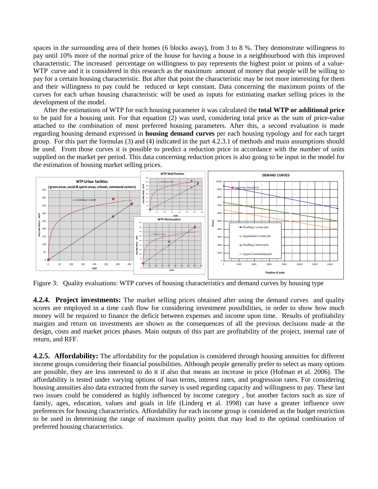spaces in the surrounding area of their homes (6 blocks away), from 3 to 8 %. They demonstrate willingness to pay until 10% more of the normal price of the house for having a house in a neighbourhood with this improved characteristic. The increased percentage on willingness to pay represents the highest point or points of a value-WTP curve and it is considered in this research as the maximum amount of money that people will be willing to pay for a certain housing characteristic. But after that point the characteristic may be not more interesting for them and their willingness to pay could be reduced or kept constant. Data concerning the maximum points of the curves for each urban housing characteristic will be used as inputs for estimating market selling prices in the development of the model.

After the estimations of WTP for each housing parameter it was calculated the **total WTP or additional price** to be paid for a housing unit. For that equation (2) was used, considering total price as the sum of price-value attached to the combination of most preferred housing parameters. After this, a second evaluation is made regarding housing demand expressed in **housing demand curves** per each housing typology and for each target group. For this part the formulas (3) and (4) indicated in the part 4.2.3.1 of methods and main assumptions should be used. From those curves it is possible to predict a reduction price in accordance with the number of units supplied on the market per period. This data concerning reduction prices is also going to be input in the model for the estimation of housing market selling prices.



Figure 3: Quality evaluations: WTP curves of housing characteristics and demand curves by housing type

**4.2.4. Project investments:** The market selling prices obtained after using the demand curves and quality scores are employed in a time cash flow for considering investment possibilities, in order to show how much money will be required to finance the deficit between expenses and income upon time. Results of profitability margins and return on investments are shown as the consequences of all the previous decisions made at the design, costs and market prices phases. Main outputs of this part are profitability of the project, internal rate of return, and RFF.

**4.2.5. Affordability:** The affordability for the population is considered through housing annuities for different income groups considering their financial possibilities. Although people generally prefer to select as many options are possible, they are less interested to do it if also that means an increase in price (Hofman et al. 2006). The affordability is tested under varying options of loan terms, interest rates, and progression rates. For considering housing annuities also data extracted from the survey is used regarding capacity and willingness to pay. These last two issues could be considered as highly influenced by income category , but another factors such as size of family, ages, education, values and goals in life (Linderg et al. 1998) can have a greater influence over preferences for housing characteristics. Affordability for each income group is considered as the budget restriction to be used in determining the range of maximum quality points that may lead to the optimal combination of preferred housing characteristics.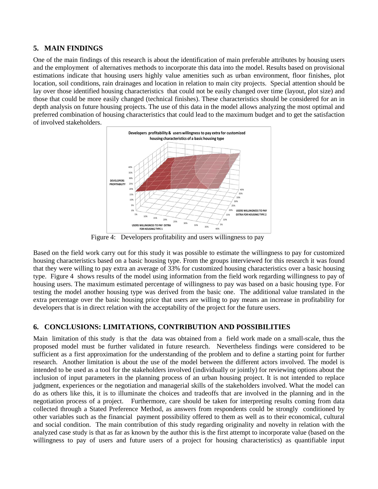## **5. MAIN FINDINGS**

One of the main findings of this research is about the identification of main preferable attributes by housing users and the employment of alternatives methods to incorporate this data into the model. Results based on provisional estimations indicate that housing users highly value amenities such as urban environment, floor finishes, plot location, soil conditions, rain drainages and location in relation to main city projects. Special attention should be lay over those identified housing characteristics that could not be easily changed over time (layout, plot size) and those that could be more easily changed (technical finishes). These characteristics should be considered for an in depth analysis on future housing projects. The use of this data in the model allows analyzing the most optimal and preferred combination of housing characteristics that could lead to the maximum budget and to get the satisfaction of involved stakeholders.



Figure 4: Developers profitability and users willingness to pay

Based on the field work carry out for this study it was possible to estimate the willingness to pay for customized housing characteristics based on a basic housing type. From the groups interviewed for this research it was found that they were willing to pay extra an average of 33% for customized housing characteristics over a basic housing type. Figure 4 shows results of the model using information from the field work regarding willingness to pay of housing users. The maximum estimated percentage of willingness to pay was based on a basic housing type. For testing the model another housing type was derived from the basic one. The additional value translated in the extra percentage over the basic housing price that users are willing to pay means an increase in profitability for developers that is in direct relation with the acceptability of the project for the future users.

## **6. CONCLUSIONS: LIMITATIONS, CONTRIBUTION AND POSSIBILITIES**

Main limitation of this study is that the data was obtained from a field work made on a small-scale, thus the proposed model must be further validated in future research. Nevertheless findings were considered to be sufficient as a first approximation for the understanding of the problem and to define a starting point for further research. Another limitation is about the use of the model between the different actors involved. The model is intended to be used as a tool for the stakeholders involved (individually or jointly) for reviewing options about the inclusion of input parameters in the planning process of an urban housing project. It is not intended to replace judgment, experiences or the negotiation and managerial skills of the stakeholders involved. What the model can do as others like this, it is to illuminate the choices and tradeoffs that are involved in the planning and in the negotiation process of a project. Furthermore, care should be taken for interpreting results coming from data collected through a Stated Preference Method, as answers from respondents could be strongly conditioned by other variables such as the financial payment possibility offered to them as well as to their economical, cultural and social condition. The main contribution of this study regarding originality and novelty in relation with the analyzed case study is that as far as known by the author this is the first attempt to incorporate value (based on the willingness to pay of users and future users of a project for housing characteristics) as quantifiable input